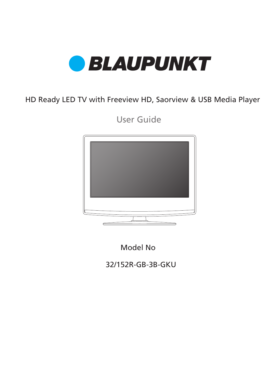

HD Ready LED TV with Freeview HD, Saorview & USB Media Player

User Guide



Model No

32/152R-GB-3B-GKU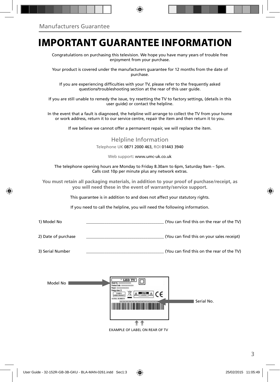## **IMPORTANT GUARANTEE INFORMATION**

Congratulations on purchasing this television. We hope you have many years of trouble free enjoyment from your purchase.

Your product is covered under the manufacturers guarantee for 12 months from the date of purchase.

If you are experiencing difficulties with your TV, please refer to the frequently asked questions/troubleshooting section at the rear of this user guide.

If you are still unable to remedy the issue, try resetting the TV to factory settings, (details in this user guide) or contact the helpline.

In the event that a fault is diagnosed, the helpline will arrange to collect the TV from your home or work address, return it to our service centre, repair the item and then return it to you.

If we believe we cannot offer a permanent repair, we will replace the item.

#### Helpline Information Telephone UK 0871 2000 463, ROI 01443 3940

Web support: www.umc-uk.co.uk

The telephone opening hours are Monday to Friday 8.30am to 6pm, Saturday 9am – 5pm. Calls cost 10p per minute plus any network extras.

**You must retain all packaging materials, in addition to your proof of purchase/receipt, as you will need these in the event of warranty/service support.**

This guarantee is in addition to and does not affect your statutory rights.

If you need to call the helpline, you will need the following information.

| 1) Model No         | (You can find this on the rear of the TV) |
|---------------------|-------------------------------------------|
| 2) Date of purchase | (You can find this on your sales receipt) |
| 3) Serial Number    | (You can find this on the rear of the TV) |

| Model No | " LED TV<br>Model No .: 300000000000000<br>Product Code: sociologic concerning<br>Power x0000000000000<br>Energy class: X<br>¤<br>$ \triangle$<br>٢٥<br><b>CLASS 1</b><br>A<br>LASER PRODUCT<br>SERIAL NUMBER<br>xxxxxxxxx<br>XX | Serial No. |
|----------|----------------------------------------------------------------------------------------------------------------------------------------------------------------------------------------------------------------------------------|------------|
|          |                                                                                                                                                                                                                                  |            |

EXAMPLE OF LABEL ON REAR OF TV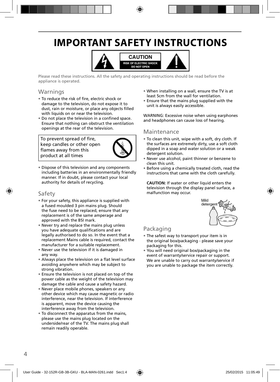# **IMPORTANT SAFETY INSTRUCTIONS**



Please read these instructions. All the safety and operating instructions should be read before the appliance is operated.

### Warnings

- To reduce the risk of fire, electric shock or damage to the television, do not expose it to dust, rain or moisture, or place any objects filled with liquids on or near the television.
- Do not place the television in a confined space. Ensure that nothing can obstruct the ventilation openings at the rear of the television.

To prevent spread of fire, keep candles or other open flames away from this product at all times



• Dispose of this television and any components including batteries in an environmentally friendly manner. If in doubt, please contact your local authority for details of recycling.

#### Safety

- For your safety, this appliance is supplied with a fused moulded 3 pin mains plug. Should the fuse need to be replaced, ensure that any replacement is of the same amperage and approved with the BSI mark.
- Never try and replace the mains plug unless you have adequate qualifications and are legally authorised to do so. In the event that a replacement Mains cable is required, contact the manufacturer for a suitable replacement.
- Never use the television if it is damaged in any way.
- Always place the television on a flat level surface avoiding anywhere which may be subject to strong vibration.
- Ensure the television is not placed on top of the power cable as the weight of the television may damage the cable and cause a safety hazard.
- Never place mobile phones, speakers or any other device which may cause magnetic or radio interference, near the television. If interference is apparent, move the device causing the interference away from the television.
- To disconnect the apparatus from the mains, please use the mains plug located on the underside/rear of the TV. The mains plug shall remain readily operable.
- When installing on a wall, ensure the TV is at least 5cm from the wall for ventilation.
- Ensure that the mains plug supplied with the unit is always easily accessible.

WARNING: Excessive noise when using earphones and headphones can cause loss of hearing.

#### Maintenance

- To clean this unit, wipe with a soft, dry cloth. If the surfaces are extremely dirty, use a soft cloth dipped in a soap and water solution or a weak detergent solution.
- Never use alcohol, paint thinner or benzene to clean this unit.
- Before using a chemically treated cloth, read the instructions that came with the cloth carefully.

**CAUTION:** If water or other liquid enters the television through the display panel surface, a malfunction may occur.



### Packaging

- The safest way to transport your item is in the original box/packaging - please save your packaging for this.
- You will need original box/packaging in the event of warranty/service repair or support. We are unable to carry out warranty/service if you are unable to package the item correctly.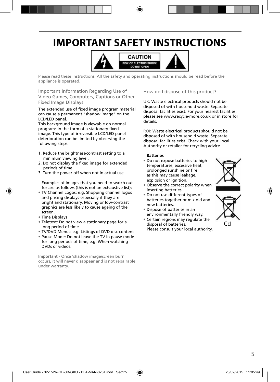# **IMPORTANT SAFETY INSTRUCTIONS**



Please read these instructions. All the safety and operating instructions should be read before the appliance is operated.

Important Information Regarding Use of Video Games, Computers, Captions or Other Fixed Image Displays

The extended use of fixed image program material can cause a permanent "shadow image" on the LCD/LED panel.

This background image is viewable on normal programs in the form of a stationary fixed image. This type of irreversible LCD/LED panel deterioration can be limited by observing the following steps:

- 1. Reduce the brightness/contrast setting to a minimum viewing level.
- 2. Do not display the fixed image for extended periods of time.
- 3. Turn the power off when not in actual use.

Examples of images that you need to watch out for are as follows (this is not an exhaustive list):

- TV Channel Logos: e.g. Shopping channel logos and pricing displays-especially if they are bright and stationary. Moving or low-contrast graphics are less likely to cause ageing of the screen.
- Time Displays
- Teletext: Do not view a stationary page for a long period of time
- TV/DVD Menus: e.g. Listings of DVD disc content
- Pause Mode: Do not leave the TV in pause mode for long periods of time, e.g. When watching DVDs or videos.

**Important** - Once 'shadow image/screen burn' occurs, it will never disappear and is not repairable under warranty.

How do I dispose of this product?

UK: Waste electrical products should not be disposed of with household waste. Separate disposal facilities exist. For your nearest facilities, please see www.recycle-more.co.uk or in store for details.

ROI: Waste electrical products should not be disposed of with household waste. Separate disposal facilities exist. Check with your Local Authority or retailer for recycling advice.

#### **Batteries**

- Do not expose batteries to high temperatures, excessive heat, prolonged sunshine or fire as this may cause leakage, explosion or ignition.
- Observe the correct polarity when inserting batteries.
- Do not use different types of batteries together or mix old and new batteries.
- Dispose of batteries in an environmentally friendly way.
- Certain regions may regulate the disposal of batteries. Please consult your local authority.



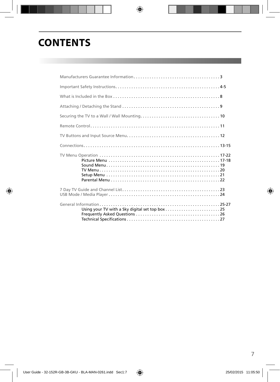# **CONTENTS**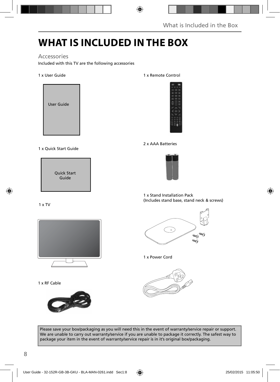# **WHAT IS INCLUDED IN THE BOX**

### Accessories

Included with this TV are the following accessories

#### 1 x User Guide



#### 1 x Quick Start Guide



#### 1 x TV



1 x RF Cable



#### 1 x Remote Control



#### 2 x AAA Batteries



#### 1 x Stand Installation Pack (Includes stand base, stand neck & screws)



#### 1 x Power Cord



Please save your box/packaging as you will need this in the event of warranty/service repair or support. We are unable to carry out warranty/service if you are unable to package it correctly. The safest way to package your item in the event of warranty/service repair is in it's original box/packaging.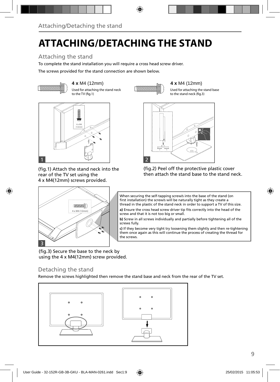# **ATTACHING/DETACHING THE STAND**

### Attaching the stand

To complete the stand installation you will require a cross head screw driver.

The screws provided for the stand connection are shown below.



**4 x** M4 (12mm) **4 x** M4 (12mm) Used for attaching the stand neck to the TV (fig.1)

Used for attaching the stand base to the stand neck (fig.3)



(fig.1) Attach the stand neck into the rear of the TV set using the 4 x M4(12mm) screws provided.

 $4 \times MA$  (12mm)

**TOOOOOOOOO** 





When securing the self-tapping screw/s into the base of the stand (on first installation) the screw/s will be naturally tight as they create a thread in the plastic of the stand neck in order to support a TV of this size.

a) Ensure the cross head screw driver tip fits correctly into the head of the screw and that it is not too big or small.

**b)** Screw in all screws individually and partially before tightening all of the screws fully.

**c)** If they become very tight try loosening them slightly and then re-tightening them once again as this will continue the process of creating the thread for the screws.

(fig.3) Secure the base to the neck by using the 4 x M4(12mm) screw provided.

ė.

### Detaching the stand

3

Remove the screws highlighted then remove the stand base and neck from the rear of the TV set.

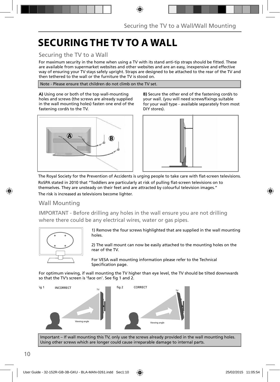# **SECURING THE TV TO A WALL**

### Securing the TV to a Wall

For maximum security in the home when using a TV with its stand anti-tip straps should be fitted. These are available from supermarket websites and other websites and are an easy, inexpensive and effective way of ensuring your TV stays safely upright. Straps are designed to be attached to the rear of the TV and then tethered to the wall or the furniture the TV is stood on.

Note - Please ensure that children do not climb on the TV set.

**A)** Using one or both of the top wall-mounting holes and screws (the screws are already supplied in the wall mounting holes) fasten one end of the fastening cord/s to the TV.



**B)** Secure the other end of the fastening cord/s to your wall. (you will need screws/fixings suitable for your wall type - available separately from most DIY stores).



The Royal Society for the Prevention of Accidents is urging people to take care with flat-screen televisions. RoSPA stated in 2010 that "Toddlers are particularly at risk of pulling flat-screen televisions on to themselves. They are unsteady on their feet and are attracted by colourful television images."

The risk is increased as televisions become lighter.

### Wall Mounting

IMPORTANT - Before drilling any holes in the wall ensure you are not drilling where there could be any electrical wires, water or gas pipes.



1) Remove the four screws highlighted that are supplied in the wall mounting holes.

2) The wall mount can now be easily attached to the mounting holes on the rear of the TV.

For VESA wall mounting information please refer to the Technical Specification page.

For optimum viewing, if wall mounting the TV higher than eye level, the TV should be tilted downwards so that the TV's screen is 'face on'. See fig 1 and 2.



Important – If wall mounting this TV, only use the screws already provided in the wall mounting holes. Using other screws which are longer could cause irreparable damage to internal parts.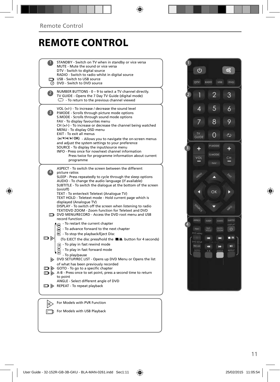## **REMOTE CONTROL**

| STANDBY - Switch on TV when in standby or vice versa<br>MUTE - Mute the sound or vice versa<br>DTV - Switch to digital source<br>RADIO - Switch to radio whilst in digital source<br>USB - Switch to USB source                                                                                                                                                                                                                                                                                                                                                                                                                                                     |  |
|---------------------------------------------------------------------------------------------------------------------------------------------------------------------------------------------------------------------------------------------------------------------------------------------------------------------------------------------------------------------------------------------------------------------------------------------------------------------------------------------------------------------------------------------------------------------------------------------------------------------------------------------------------------------|--|
| <b>O</b> DVD - Switch to DVD source                                                                                                                                                                                                                                                                                                                                                                                                                                                                                                                                                                                                                                 |  |
| NUMBER BUTTONS - 0 - 9 to select a TV channel directly.<br>$\mathbf{2}$<br>TV GUIDE - Opens the 7 Day TV Guide (digital mode)<br>$\mathbb{C}$ - To return to the previous channel viewed                                                                                                                                                                                                                                                                                                                                                                                                                                                                            |  |
| VOL $(+/-)$ - To increase / decrease the sound level<br>$\vert 3 \rangle$<br>P.MODE - Scrolls through picture mode options<br>S.MODE - Scrolls through sound mode options<br>FAV - To display favourites menu<br>$CH (+/-)$ - To increase or decrease the channel being watched<br>MENU - To display OSD menu<br>EXIT - To exit all menus<br>(A/V/4/M/OK) - Allows you to navigate the on-screen menus<br>and adjust the system settings to your preference<br>SOURCE - To display the input/source menu<br>INFO - Press once for now/next channel information<br>Press twice for programme information about current                                               |  |
| programme                                                                                                                                                                                                                                                                                                                                                                                                                                                                                                                                                                                                                                                           |  |
| ASPECT - To switch the screen between the different<br>$\left( 4 \right)$<br>picture ratios<br>SLEEP - Press repeatedly to cycle through the sleep options<br>AUDIO - To change the audio language (if available)<br>SUBTITLE - To switch the dialogue at the bottom of the screen<br>(on/off)<br>TEXT - To enter/exit Teletext (Analogue TV)<br>TEXT HOLD - Teletext mode - Hold current page which is<br>displayed (Analogue TV)<br>DISPLAY - To switch off the screen when listening to radio<br>TEXT/DVD ZOOM - Zoom function for Teletext and DVD<br>DVD MENU/RECORD - Access the DVD root menu and USB<br>record function<br>- To restart the current chapter |  |
| To advance forward to the next chapter<br>To stop the playback/Eject Disc<br>o d<br>(To EJECT the disc press/hold the ■▲ button for 4 seconds)<br>$\left($ a) - To play in fast rewind mode<br>- To play in fast forward mode<br>- To play/pause<br>DVD SETUP/REC LIST - Opens up DVD Menu or Opens the list<br>of what has been previously recorded<br>$\Box$ $\triangleright$ GOTO - To go to a specific chapter<br>A-B - Press once to set point, press a second time to return<br>to point<br>ANGLE - Select different angle of DVD<br>$\Box$ $\triangleright$ REPEAT - To repeat playback                                                                      |  |
|                                                                                                                                                                                                                                                                                                                                                                                                                                                                                                                                                                                                                                                                     |  |
|                                                                                                                                                                                                                                                                                                                                                                                                                                                                                                                                                                                                                                                                     |  |
|                                                                                                                                                                                                                                                                                                                                                                                                                                                                                                                                                                                                                                                                     |  |
| For Models with PVR Function<br>lπ                                                                                                                                                                                                                                                                                                                                                                                                                                                                                                                                                                                                                                  |  |
| For Models with USB Playback                                                                                                                                                                                                                                                                                                                                                                                                                                                                                                                                                                                                                                        |  |

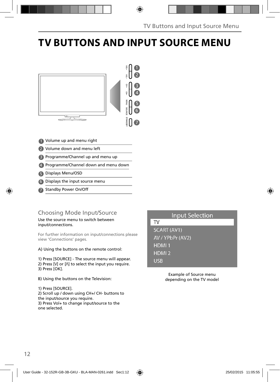# **TV BUTTONS AND INPUT SOURCE MENU**



- 1 Volume up and menu right
- 2 Volume down and menu left
- Programme/Channel up and menu up 3
- Programme/Channel down and menu down 4
- Displays Menu/OSD 5
- Displays the input source menu 6
- 7 Standby Power On/Off

### Choosing Mode Input/Source

Use the source menu to switch between input/connections.

For further information on input/connections please view 'Connections' pages.

A) Using the buttons on the remote control:

1) Press [SOURCE] - The source menu will appear. 2) Press  $[V]$  or  $[\Lambda]$  to select the input you require. 3) Press [OK].

B) Using the buttons on the Television:

1) Press [SOURCE]. 2) Scroll up / down using CH+/ CH- buttons to the input/source you require.

3) Press Vol+ to change input/source to the one selected.

### **Input Selection**

**TV** 

SCART (AV1) AV / YPbPr (AV2) HDMI<sub>1</sub> HDMI<sub>2</sub> **USB** 

> Example of Source menu depending on the TV model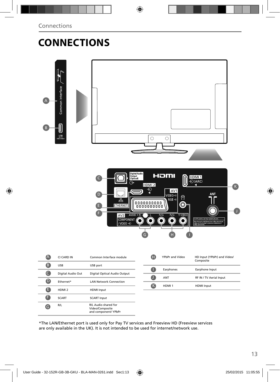# **CONNECTIONS**



\*The LAN/Ethernet port is used only for Pay TV services and Freeview HD (Freeview services are only available in the UK). It is not intended to be used for internet/network use.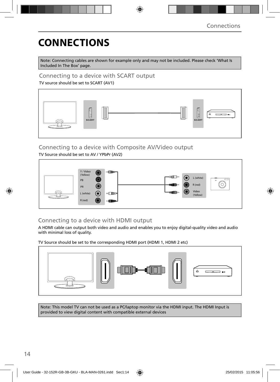# **CONNECTIONS**

Note: Connecting cables are shown for example only and may not be included. Please check 'What Is Included In The Box' page.

Connecting to a device with SCART output

TV source should be set to SCART (AV1)



### Connecting to a device with Composite AV/Video output

TV Source should be set to AV / YPbPr (AV2)



### Connecting to a device with HDMI output

A HDMI cable can output both video and audio and enables you to enjoy digital-quality video and audio with minimal loss of quality.

TV Source should be set to the corresponding HDMI port (HDMI 1, HDMI 2 etc)



Note: This model TV can not be used as a PC/laptop monitor via the HDMI input. The HDMI Input is provided to view digital content with compatible external devices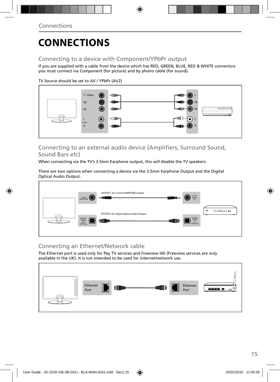# **CONNECTIONS**

### Connecting to a device with Component/YPbPr output

If you are supplied with a cable from the device which has RED, GREEN, BLUE, RED & WHITE connectors you must connect via Component (for picture) and by phono cable (for sound).

TV Source should be set to AV / YPbPr (AV2)



### Connecting to an external audio device (Amplifiers, Surround Sound, Sound Bars etc)

When connecting via the TV's 3.5mm Earphone output, this will disable the TV speakers.

There are two options when connecting a device via the 3.5mm Earphone Output and the Digital Optical Audio Output.



### Connecting an Ethernet/Network cable

The Ethernet port is used only for Pay TV services and Freeview HD (Freeview services are only available in the UK). It is not intended to be used for internet/network use.

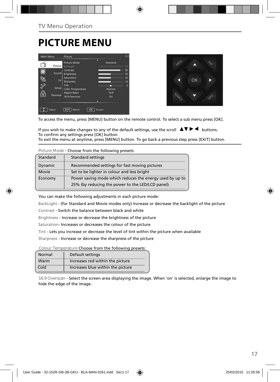## **PICTURE MENU**

| Main Menu |              | Picture                              |            | 1/2      |
|-----------|--------------|--------------------------------------|------------|----------|
|           | Picture      | <b>Picture Mode</b><br>Backfight     | Standard   | 70       |
| o)        | <b>Sound</b> | Contrast<br><b>Brightness</b>        |            | 90<br>50 |
|           | TV.          | Saturation<br><b>Sharpness</b>       |            | 50<br>10 |
|           | Setup        | Tint<br><b>Color Temperature</b>     | Normal     | $\Omega$ |
| å         | Parental     | <b>Aspect Ratio</b><br>16.9 Overscan | 16.9<br>On |          |
|           |              |                                      |            |          |
|           | Select       | EXIT<br>Return<br>ox                 | Access     |          |



To access the menu, press [MENU] button on the remote control. To select a sub menu press [OK].

If you wish to make changes to any of the default settings, use the scroll  $\blacktriangle \blacktriangledown \blacktriangleright \blacktriangleleft$  buttons. To confirm any settings press [OK] button.

To exit the menu at anytime, press [MENU] button. To go back a previous step press [EXiT] button.

**Picture Mode** - Choose from the following presets:

| Standard | Standard settings                                        |
|----------|----------------------------------------------------------|
| Dynamic  | Recommended settings for fast moving pictures            |
| Movie    | Set to be lighter in colour and less bright              |
| Economy  | Power saving mode which reduces the energy used by up to |
|          | 25% (by reducing the power to the LED/LCD panel).        |

You can make the following adjustments in each picture mode:

BackLight - (for Standard and Movie modes only) Increase or decrease the backlight of the picture

Contrast - Switch the balance between black and white

Brightness - Increase or decrease the brightness of the picture

Saturation- Increases or decreases the colour of the picture

Tint - Lets you increase or decrease the level of tint within the picture when available

Sharpness - Increase or decrease the sharpness of the picture

**Colour Temperature** Choose from the following presets:

| Normal | Default settings                  |
|--------|-----------------------------------|
| Warm   | Increases red within the picture  |
| Cold   | Increases blue within the picture |

**16.9 Overscan** - Select the screen area displaying the image. When 'on' is selected, enlarge the image to hide the edge of the image.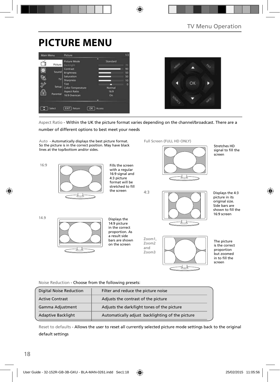## **PICTURE MENU**

| Main Menu |          | Picture                  |          | 1/2 |
|-----------|----------|--------------------------|----------|-----|
|           |          | Picture Mode             | Standard |     |
|           | Picture  | Backfight                |          | 70  |
|           |          | Contrast                 |          | 90  |
|           | Sound    | <b>Brightness</b>        |          | 50  |
|           |          | Saturation               |          | 50  |
|           | TV.      | <b>Sharpness</b>         |          | 10  |
|           |          | Tint                     |          | ō   |
|           | Setup    | <b>Color Temperature</b> | Normal   |     |
|           |          | <b>Aspect Ratio</b>      | 16.9     |     |
|           | Parental | 16:9 Overscan            | On       |     |
|           |          |                          | ∍        |     |
|           |          |                          |          |     |
|           |          |                          |          |     |
|           | Select   | EXIT<br>Return<br>ОK     | Access   |     |
|           |          |                          |          |     |



Aspect Ratio - Within the UK the picture format varies depending on the channel/broadcast. There are a

number of different options to best meet your needs

Zoom1, Zoom2 and Zoom3 Full Screen (FULL HD ONLY) 16:9 The picture is the correct proportion but zoomed in to fill the screen 14.9  $4.3$ Displays the 14:9 picture in the correct proportion. As a result side bars are shown on the screen Displays the 4:3 picture in its original size. Side bars are shown to fill the 16:9 screen Fills the screen with a regular 16:9 signal and 4:3 picture format will be stretched to fill the screen Stretches HD signal to fill the screen Auto - Automatically displays the best picture format. So the picture is in the correct position. May have black lines at the top/bottom and/or sides.

Noise Reduction - Choose from the following presets:

| <b>Digital Noise Reduction</b> | Filter and reduce the picture noise              |
|--------------------------------|--------------------------------------------------|
| <b>Active Contrast</b>         | Adjusts the contrast of the picture              |
| Gamma Adjustment               | Adjusts the dark/light tones of the picture      |
| <b>Adaptive Backlight</b>      | Automatically adjust backlighting of the picture |

Reset to defaults - Allows the user to reset all currently selected picture mode settings back to the original default settings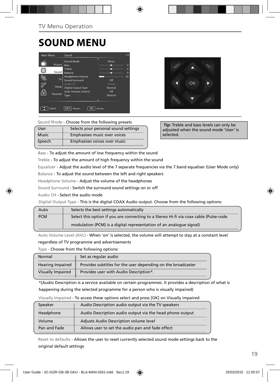# **SOUND MENU**





**Sound Mode** - Choose from the following presets

| User         | Selects your personal sound settings |
|--------------|--------------------------------------|
| <b>Music</b> | Emphasises music over voices         |
| Speech       | Emphasises voices over music         |

 **Tip:** Treble and bass levels can only be adjusted when the sound mode 'User' is selected.

Bass - To adjust the amount of low frequency within the sound

Treble - To adjust the amount of high frequency within the sound

Equalizer - Adjust the audio level of the 7 separate frequencies via the 7 band equaliser (User Mode only)

Balance - To adjust the sound between the left and right speakers

Headphone Volume - Adjust the volume of the headphones

Sound Surround - Switch the surround sound settings on or off

Audio CH - Select the audio mode

Digital Output Type - This is the digital COAX Audio output. Choose from the following options:

| Auto       | Selects the best settings automatically                                               |
|------------|---------------------------------------------------------------------------------------|
| <b>PCM</b> | Select this option if you are connecting to a Stereo Hi-fi via coax cable (Pulse-code |
|            | modulation (PCM) is a digital representation of an analogue signal)                   |

Auto Volume Level (AVL) - When 'on' is selected, the volume will attempt to stay at a constant level

regardless of TV programme and advertisements

Type - Choose from the following options:

| Normal                   | Set as regular audio                                         |
|--------------------------|--------------------------------------------------------------|
| <b>Hearing Impaired</b>  | Provides subtitles for the user depending on the broadcaster |
| <b>Visually Impaired</b> | Provides user with Audio Description*.                       |

\*(Audio Description is a service available on certain programmes. It provides a description of what is happening during the selected programme for a person who is visually impaired)

| visually illipality - TO access these Options sciect and press jORT on visually impalled |                                                          |  |
|------------------------------------------------------------------------------------------|----------------------------------------------------------|--|
| Audio Description audio output via the TV speakers<br>Speaker                            |                                                          |  |
| Headphone                                                                                | Audio Description audio output via the head phone output |  |
| Adjusts Audio Description volume level<br>Volume                                         |                                                          |  |
| Pan and Fade                                                                             | Allows user to set the audio pan and fade effect         |  |

 $V<sub>1</sub>$  Impaired - To access these options select and press  $[OK]$  on Visually impaired

Reset to defaults - Allows the user to reset currently selected sound mode settings back to the original default settings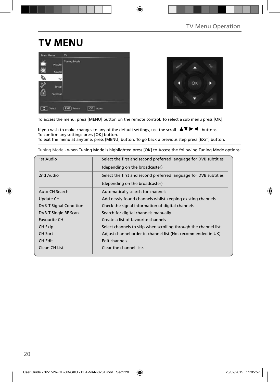# **TV MENU**





To access the menu, press [MENU] button on the remote control. To select a sub menu press [OK].

If you wish to make changes to any of the default settings, use the scroll  $\Delta \nabla \blacktriangleright$   $\blacktriangleleft$  buttons. To confirm any settings press [OK] button. To exit the menu at anytime, press [MENU] button. To go back a previous step press [EXiT] button.

Tuning Mode - when Tuning Mode is highlighted press [OK] to Access the following Tuning Mode options:

| 1st Audio                     | Select the first and second preferred language for DVB subtitles |  |
|-------------------------------|------------------------------------------------------------------|--|
|                               | (depending on the broadcaster)                                   |  |
| 2nd Audio                     | Select the first and second preferred language for DVB subtitles |  |
|                               | (depending on the broadcaster)                                   |  |
| Auto CH Search                | Automatically search for channels                                |  |
| Update CH                     | Add newly found channels whilst keeping existing channels        |  |
| <b>DVB-T Signal Condition</b> | Check the signal information of digital channels                 |  |
| DVB-T Single RF Scan          | Search for digital channels manually                             |  |
| <b>Favourite CH</b>           | Create a list of favourite channels                              |  |
| CH Skip                       | Select channels to skip when scrolling through the channel list  |  |
| <b>CH Sort</b>                | Adjust channel order in channel list (Not recommended in UK)     |  |
| CH Edit                       | Edit channels                                                    |  |
| Clean CH List                 | Clear the channel lists                                          |  |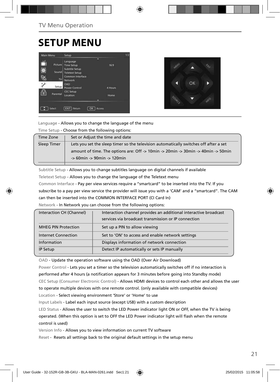## **SETUP MENU**





Language - Allows you to change the language of the menu

Time Setup - Choose from the following options:

| Time Zone   | Set or Adjust the time and date                                                                                             |
|-------------|-----------------------------------------------------------------------------------------------------------------------------|
| Sleep Timer | Lets you set the sleep timer so the television automatically switches off after a set                                       |
|             | amount of time. The options are: Off -> 10min -> 20min -> 30min -> 40min -> 50min<br>$\rightarrow$ 60min -> 90min -> 120min |
|             |                                                                                                                             |

Subtitle Setup - Allows you to change subtitles language on digital channels if available

Teletext Setup - Allows you to change the language of the Teletext menu

Common Interface - Pay per view services require a "smartcard" to be inserted into the TV. If you subscribe to a pay per view service the provider will issue you with a 'CAM' and a "smartcard". The CAM can then be inserted into the COMMON INTERFACE PORT (CI Card In)

Network - In Network you can choose from the following options:

| Interaction CH (Channel)   | Interaction channel provides an additional interactive broadcast |
|----------------------------|------------------------------------------------------------------|
|                            | services via broadcast transmission or IP connection             |
| <b>MHEG PIN Protection</b> | Set up a PIN to allow viewing                                    |
| <b>Internet Connection</b> | Set to 'ON' to access and enable network settings                |
| Information                | Displays information of network connection                       |
| IP Setup                   | Detect IP automatically or sets IP manually                      |

OAD - Update the operation software using the OAD (Over Air Download)

Power Control - Lets you set a timer so the television automatically switches off if no interaction is performed after 4 hours (a notification appears for 3 minutes before going into Standby mode) CEC Setup (Consumer Electronic Control) - Allows HDMI devices to control each other and allows the user to operate multiple devices with one remote control. (only available with compatible devices) Location - Select viewing environment 'Store' or 'Home' to use

Input Labels - Label each input source (except USB) with a custom description

LED Status - Allows the user to switch the LED Power indicator light ON or OFF, when the TV is being operated. (When this option is set to OFF the LED Power indicator light will flash when the remote control is used)

Version Info - Allows you to view information on current TV software

Reset - Resets all settings back to the original default settings in the setup menu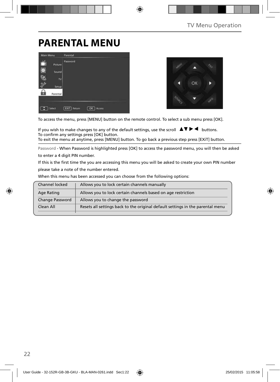## **PARENTAL MENU**

| Main Menu                             | Parental                        |
|---------------------------------------|---------------------------------|
| Picture<br>O,<br>Sound<br>TV<br>Setup | Password                        |
| 'n<br>Parental<br>Select              | EXIT)<br>Return<br>OK<br>Access |



To access the menu, press [MENU] button on the remote control. To select a sub menu press [OK].

If you wish to make changes to any of the default settings, use the scroll  $\Delta \nabla \blacktriangleright$   $\blacktriangleleft$  buttons. To confirm any settings press [OK] button. To exit the menu at anytime, press [MENU] button. To go back a previous step press [EXiT] button.

Password - When Password is highlighted press [OK] to access the password menu, you will then be asked

to enter a 4 digit PIN number.

If this is the first time the you are accessing this menu you will be asked to create your own PIN number please take a note of the number entered.

When this menu has been accessed you can choose from the following options:

| Channel locked         | Allows you to lock certain channels manually                                   |
|------------------------|--------------------------------------------------------------------------------|
| Age Rating             | Allows you to lock certain channels based on age restriction                   |
| <b>Change Password</b> | Allows you to change the password                                              |
| Clean All              | Resets all settings back to the original default settings in the parental menu |
|                        |                                                                                |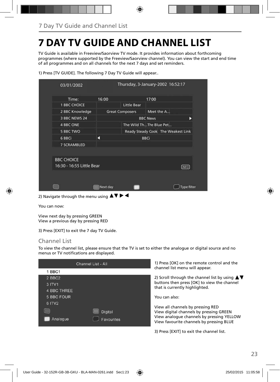# **7 DAY TV GUIDE AND CHANNEL LIST**

TV Guide is available in Freeview/Saorview TV mode. It provides information about forthcoming programmes (where supported by the Freeview/Saorview channel). You can view the start and end time of all programmes and on all channels for the next 7 days and set reminders.

| 03/01/2002                                     |          | Thursday, 3-January-2002 16:52:17 |                         |                                    |
|------------------------------------------------|----------|-----------------------------------|-------------------------|------------------------------------|
| Time:                                          | 16:00    |                                   | 17:00                   |                                    |
| <b>1 BBC CHOICE</b>                            |          | <b>Little Bear</b>                |                         |                                    |
| 2 BBC Knowledge                                |          | <b>Great Composers</b>            | Meet the A              |                                    |
| 3 BBC NEWS 24                                  |          |                                   | <b>BBC News</b>         |                                    |
| <b>4 BBC ONE</b>                               |          |                                   | The Wild ThThe Blue Pet |                                    |
| <b>5 BBC TWO</b>                               |          |                                   |                         | Ready Steady Cook The Weakest Link |
| 6 BBCi                                         |          |                                   | <b>BBCi</b>             |                                    |
| <b>7 SCRAMBLED</b>                             |          |                                   |                         |                                    |
|                                                |          |                                   |                         |                                    |
| <b>BBC CHOICE</b><br>16:30 - 16:55 Little Bear |          |                                   |                         | [INFO]                             |
|                                                |          |                                   |                         |                                    |
|                                                | Next day |                                   |                         | <b>Type filter</b>                 |

1) Press [TV GUIDE]. The following 7 Day TV Guide will appear..

2) Navigate through the menu using  $\blacktriangle \blacktriangledown \blacktriangleright \blacktriangleleft$ 

You can now:

View next day by pressing GREEN View a previous day by pressing RED

3) Press [EXIT] to exit the 7 day TV Guide.

#### Channel List

To view the channel list, please ensure that the TV is set to either the analogue or digital source and no menus or TV notifications are displayed.

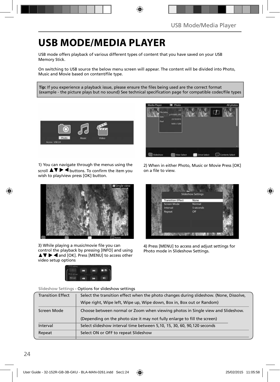## **USB MODE/MEDIA PLAYER**

USB mode offers playback of various different types of content that you have saved on your USB Memory Stick.

On switching to USB source the below menu screen will appear. The content will be divided into Photo, Music and Movie based on content/file type.

Tip: If you experience a playback issue, please ensure the files being used are the correct format (example - the picture plays but no sound) See technical specification page for compatible codec/file types



1) You can navigate through the menus using the scroll  $\triangle \nabla \triangleright \blacktriangleleft$  buttons. To confirm the item you wish to play/view press [OK] button.



3) While playing a music/movie file you can control the playback by pressing [INFO] and using  $\triangle \blacktriangledown \blacktriangleright \blacktriangleleft$  and [OK]. Press [MENU] to access other video setup options





2) When in either Photo, Music or Movie Press [OK] on a file to view.



4) Press [MENU] to access and adjust settings for Photo mode in Slideshow Settings.

Slideshow Settings - Options for slideshow settings

| Select the transition effect when the photo changes during slideshow. (None, Dissolve, |  |
|----------------------------------------------------------------------------------------|--|
| Wipe right, Wipe left, Wipe up, Wipe down, Box in, Box out or Random)                  |  |
| Choose between normal or Zoom when viewing photos in Single view and Slideshow.        |  |
| (Depending on the photo size it may not fully enlarge to fill the screen)              |  |
| Select slideshow interval time between 5,10, 15, 30, 60, 90, 120 seconds               |  |
| Select ON or OFF to repeat Slideshow                                                   |  |
|                                                                                        |  |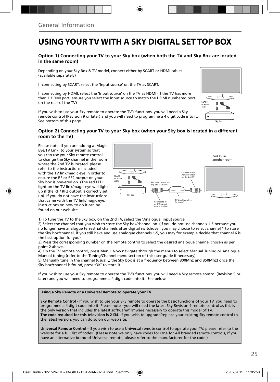### **USING YOUR TV WITH A SKY DIGITAL SET TOP BOX**

#### **Option 1) Connecting your TV to your Sky box (when both the TV and Sky Box are located in the same room)**

Depending on your Sky Box & TV model, connect either by SCART or HDMI cables (available separately)

If connecting by SCART, select the 'Input source' on the TV as SCART.

If connecting by HDMI, select the 'Input source' on the TV as HDMI (if the TV has more than 1 HDMI port, ensure you select the input source to match the HDMI numbered port on the rear of the TV)

If you wish to use your Sky remote to operate the TV's functions, you will need a Sky remote control (Revision 9 or later) and you will need to programme a 4 digit code into it. See bottom of this page.

# Sky Box SCART or HDMI cable

#### **Option 2) Connecting your TV to your Sky box (when your Sky box is located in a different room to the TV)**

Please note, if you are adding a 'Magic Eye/TV Link' to your system so that you can use your Sky remote control to change the Sky channel in the room where the 2nd TV is located, please refer to the instructions included with the TV link/magic eye in order to ensure the RF or RF2 output on your Sky box is powered on. (The red LED light on the TV link/magic eye will light up if the RF / RF2 output is correctly set up) If you do not have the instructions that came with the TV link/magic eye, instructions on how to do it can be found on our web site.



1) To tune the TV to the Sky box, on the 2nd TV, select the 'Analogue' input source.

2) Select the channel that you wish to store the Sky box/channel on. (If you do not use channels 1-5 because you no longer have analogue terrestrial channels after digital switchover, you may choose to select channel 1 to store the Sky box/channel, if you still have and use analogue channels 1-5, you may for example decide that channel 6 is the best option for you)

3) Press the corresponding number on the remote control to select the desired analogue channel chosen as per point 2 above.

4) On the TV remote control, press Menu. Now navigate through the menus to select Manual Tuning or Analogue Manual tuning (refer to the Tuning/Channel menu section of this user guide if necessary)

5) Manually tune in the channel (usually, the Sky box is at a frequency between 800Mhz and 850Mhz) once the Sky box/channel is found, press 'OK' to store it.

If you wish to use your Sky remote to operate the TV's functions, you will need a Sky remote control (Revision 9 or later) and you will need to programme a 4 digit code into it. See below.

#### **Using a Sky Remote or a Universal Remote to operate your TV**

**Sky Remote Control** - If you wish to use your Sky remote to operate the basic functions of your TV, you need to programme a 4 digit code into it. Please note - you will need the latest Sky Revision 9 remote control as this is the only version that includes the latest software/firmware necessary to operate this model of TV. **The code required for this television is 2134.** If you wish to upgrade/replace your existing Sky remote control to the latest version, you can do so on our web site.

**Universal Remote Control** - If you wish to use a Universal remote control to operate your TV, please refer to the website for a full list of codes. (Please note we only have codes for One for All branded remote controls, if you have an alternative brand of Universal remote, please refer to the manufacturer for the code.)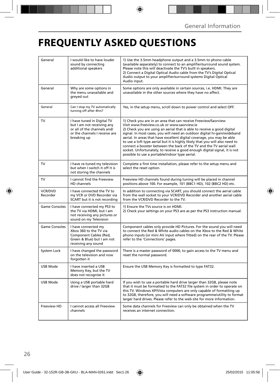## **FREQUENTLY ASKED QUESTIONS**

| General              | I would like to have louder<br>sound by connecting<br>additional speakers                                                               | 1) Use the 3.5mm headphone output and a 3.5mm to phono cable<br>(available separately) to connect to an amplifier/surround sound system.<br>Please note this will deactivate the TV's built in speakers.<br>2) Connect a Digital Optical Audio cable from the TV's Digital Optical<br>Audio output to your amplifier/surround systems Digital Optical<br>Audio input.                                                                                                                                                                                                                                                                |
|----------------------|-----------------------------------------------------------------------------------------------------------------------------------------|--------------------------------------------------------------------------------------------------------------------------------------------------------------------------------------------------------------------------------------------------------------------------------------------------------------------------------------------------------------------------------------------------------------------------------------------------------------------------------------------------------------------------------------------------------------------------------------------------------------------------------------|
| General              | Why are some options in<br>the menu unavailable and<br>greyed out                                                                       | Some options are only available in certain sources, i.e. HDMI. They are<br>unavailable in the other sources where they have no affect.                                                                                                                                                                                                                                                                                                                                                                                                                                                                                               |
| General              | Can I stop my TV automatically<br>turning off after 4hrs?                                                                               | Yes, in the setup menu, scroll down to power control and select OFF.                                                                                                                                                                                                                                                                                                                                                                                                                                                                                                                                                                 |
| TV                   | I have tuned in Digital TV<br>but I am not receiving any<br>or all of the channels and/<br>or the channels I receive are<br>breaking up | 1) Check you are in an area that can receive Freeview/Saorview<br>Visit www.freeview.co.uk or www.saorview.ie<br>2) Check you are using an aerial that is able to receive a good digital<br>signal. In most cases, you will need an outdoor digital hi-gain/wideband<br>aerial. In areas that have excellent digital coverage, you may be able<br>to use a loft type aerial but it is highly likely that you will also need to<br>connect a booster between the back of the TV and the TV aerial wall<br>socket. Unfortunately, to receive a good enough digital signal, it is not<br>possible to use a portable/indoor type aerial. |
| <b>TV</b>            | I have re-tuned my television<br>but when I switch it off it is<br>not storing the channels                                             | Complete a first time installation, please refer to the setup menu and<br>select the reset option.                                                                                                                                                                                                                                                                                                                                                                                                                                                                                                                                   |
| TV                   | I cannot find the Freeview<br>HD channels                                                                                               | Freeview HD channels found during tuning will be placed in channel<br>positions above 100. For example, 101 (BBC1 HD), 102 (BBC2 HD) etc.                                                                                                                                                                                                                                                                                                                                                                                                                                                                                            |
| VCR/DVD<br>Recorder  | I have connected the TV to<br>my VCR or DVD Recorder via<br>SCART but it is not recording                                               | In addition to connecting via SCART, you should connect the aerial cable<br>from the wall socket to your VCR/DVD Recorder and another aerial cable<br>from the VCR/DVD Recorder to the TV.                                                                                                                                                                                                                                                                                                                                                                                                                                           |
| Game Consoles        | I have connected my PS3 to<br>the TV via HDMI, but I am<br>not receiving any pictures or<br>sound on my Television                      | 1) Ensure the TVs source is on HDMI.<br>2) Check your settings on your PS3 are as per the PS3 instruction manual.                                                                                                                                                                                                                                                                                                                                                                                                                                                                                                                    |
| <b>Game Consoles</b> | I have connected my<br>Xbox 360 to the TV via<br>Component Cables (Red,<br>Green & Blue) but I am not<br>receiving any sound            | Component cables only provide HD Pictures. For the sound you will need<br>to connect the Red & White audio cables on the Xbox to the Red & White<br>phono inputs (or mini AV input where fitted) on the rear of the TV. Please<br>refer to the 'Connections' pages.                                                                                                                                                                                                                                                                                                                                                                  |
| System Lock          | I have changed the password<br>on the television and now<br>forgotten it                                                                | There is a master password of 0000, to gain access to the TV menu and<br>reset the normal password.                                                                                                                                                                                                                                                                                                                                                                                                                                                                                                                                  |
| USB Mode             | I have inserted a USB<br>Memory Key, but the TV<br>does not recognise it                                                                | Ensure the USB Memory Key is formatted to type FAT32.                                                                                                                                                                                                                                                                                                                                                                                                                                                                                                                                                                                |
| <b>USB Mode</b>      | Using a USB portable hard<br>drive / larger than 32GB                                                                                   | If you wish to use a portable hard drive larger than 32GB, please note<br>that it must be formatted to the FAT32 file system in order to operate on<br>this TV. Windows XP/Vista computers are only capable of formatting up<br>to 32GB, therefore, you will need a software programme/utility to format<br>larger hard drives. Please refer to the web site for more information.                                                                                                                                                                                                                                                   |
| Freeview HD          | I cannot access all Freeview<br>channels                                                                                                | Some data channels for Freeview can only be obtained when the TV<br>receives an internet connection.                                                                                                                                                                                                                                                                                                                                                                                                                                                                                                                                 |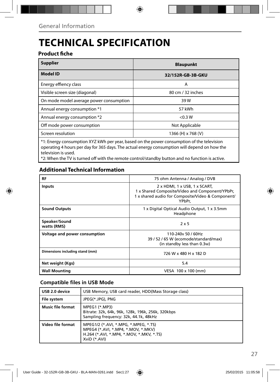# **TECHNICAL SPECIFICATION**

### **Product fiche**

| <b>Supplier</b>                                                                                       | <b>Blaupunkt</b>   |  |
|-------------------------------------------------------------------------------------------------------|--------------------|--|
| <b>Model ID</b>                                                                                       | 32/152R-GB-3B-GKU  |  |
| Energy effiency class                                                                                 | A                  |  |
| Visible screen size (diagonal)                                                                        | 80 cm / 32 inches  |  |
| On mode model average power consumption                                                               | 39 W               |  |
| Annual energy consumption *1                                                                          | 57 kWh             |  |
| Annual energy consumption *2                                                                          | < 0.3 W            |  |
| Off mode power consumption                                                                            | Not Applicable     |  |
| Screen resolution                                                                                     | 1366 (H) x 768 (V) |  |
| $*1$ . Energy consumption $\frac{1}{2}$ kWh per year based on the power consumption of the television |                    |  |

\*1: Energy consumption XYZ kWh per year, based on the power consumption of the television operating 4 hours per day for 365 days. The actual energy consumption will depend on how the television is used.

\*2: When the TV is turned off with the remote control/standby button and no function is active.

### **Additional Technical Information**

| RF                              | 75 ohm Antenna / Analog / DVB                                                                                                                   |
|---------------------------------|-------------------------------------------------------------------------------------------------------------------------------------------------|
| <b>Inputs</b>                   | 2 x HDMI, 1 x USB, 1 x SCART,<br>1 x Shared Composite/Video and Component/YPbPr,<br>1 x shared audio for Composite/Video & Component/<br>YPbPr, |
| <b>Sound Outputs</b>            | 1 x Digital Optical Audio Output, 1 x 3.5mm<br>Headphone                                                                                        |
| Speaker/Sound<br>watts (RMS)    | $2 \times 5$                                                                                                                                    |
| Voltage and power consumption   | 110-240y 50 / 60Hz<br>39 / 52 / 65 W (ecomode/standard/max)<br>(in standby less than 0.3w)                                                      |
| Dimensions including stand (mm) | 726 W x 480 H x 182 D                                                                                                                           |
| Net weight (Kgs)                | 5.4                                                                                                                                             |
| <b>Wall Mounting</b>            | VESA 100 x 100 (mm)                                                                                                                             |

#### **Compatible files in USB Mode**

| USB 2.0 device           | USB Memory, USB card reader, HDD(Mass Storage class)                                                                                   |  |
|--------------------------|----------------------------------------------------------------------------------------------------------------------------------------|--|
| <b>File system</b>       | JPEG(*.JPG), PNG                                                                                                                       |  |
| <b>Music file format</b> | MPEG1 (*.MP3)<br>Bitrate: 32k, 64k, 96k, 128k, 196k, 256k, 320kbps<br>Sampling frequency: 32k, 44.1k, 48kHz                            |  |
| Video file format        | MPEG1/2 (*.AVI, *.MPG, *.MPEG, *.TS)<br>MPEG4 (*.AVI, *.MP4, *.MOV, *.MKV)<br>H.264 (*.AVI, *.MP4, *.MOV, *.MKV, *.TS)<br>XviD (*.AVI) |  |